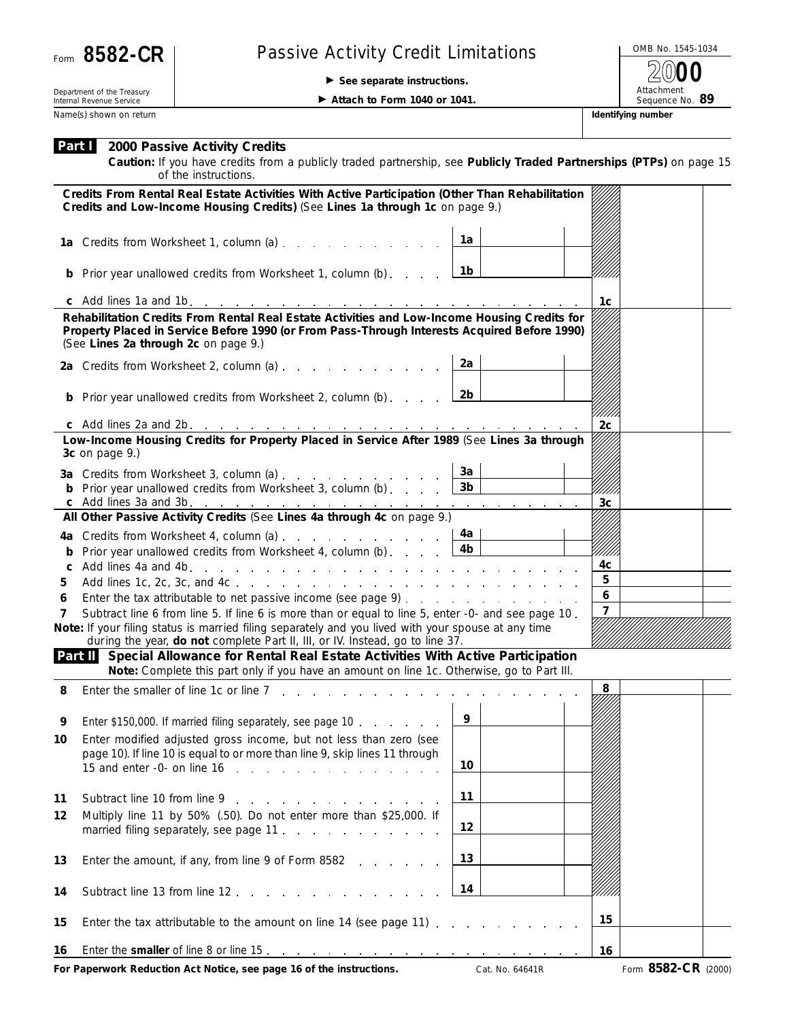

## Form 8582-CR | Passive Activity Credit Limitations

**See separate instructions.**

OMB No. 1545-1034 Attachment<br>Sequence No. 89 **2000**

Department of the Treasury Internal Revenue Service Name(s) shown on return **Identifying number** and the state of the state of the state of the state of the state of the state of the state of the state of the state of the state of the state of the state of the state of the

**Attach to Form 1040 or 1041.** 

**Caution:** *If you have credits from a publicly traded partnership, see Publicly Traded Partnerships (PTPs) on page 15 of the instructions.*

| Credits From Rental Real Estate Activities With Active Participation (Other Than Rehabilitation<br>Credits and Low-Income Housing Credits) (See Lines 1a through 1c on page 9.)     |                                                                                                                                                                                                                                      |                |                |  |  |  |
|-------------------------------------------------------------------------------------------------------------------------------------------------------------------------------------|--------------------------------------------------------------------------------------------------------------------------------------------------------------------------------------------------------------------------------------|----------------|----------------|--|--|--|
|                                                                                                                                                                                     | 1a Credits from Worksheet 1, column (a)                                                                                                                                                                                              | 1a             |                |  |  |  |
|                                                                                                                                                                                     | <b>b</b> Prior year unallowed credits from Worksheet 1, column (b)                                                                                                                                                                   | 1b             |                |  |  |  |
|                                                                                                                                                                                     |                                                                                                                                                                                                                                      |                | 1c             |  |  |  |
|                                                                                                                                                                                     | Rehabilitation Credits From Rental Real Estate Activities and Low-Income Housing Credits for<br>Property Placed in Service Before 1990 (or From Pass-Through Interests Acquired Before 1990)<br>(See Lines 2a through 2c on page 9.) |                |                |  |  |  |
|                                                                                                                                                                                     | 2a Credits from Worksheet 2, column (a)                                                                                                                                                                                              | 2a             |                |  |  |  |
|                                                                                                                                                                                     | <b>b</b> Prior year unallowed credits from Worksheet 2, column (b)                                                                                                                                                                   | 2b             |                |  |  |  |
|                                                                                                                                                                                     |                                                                                                                                                                                                                                      | 2c             |                |  |  |  |
|                                                                                                                                                                                     | Low-Income Housing Credits for Property Placed in Service After 1989 (See Lines 3a through<br>3c on page 9.)                                                                                                                         |                |                |  |  |  |
|                                                                                                                                                                                     | 3a Credits from Worksheet 3, column (a)                                                                                                                                                                                              | За             |                |  |  |  |
|                                                                                                                                                                                     | <b>b</b> Prior year unallowed credits from Worksheet 3, column (b) [                                                                                                                                                                 | 3 <sub>b</sub> |                |  |  |  |
|                                                                                                                                                                                     |                                                                                                                                                                                                                                      |                | 3 <sub>c</sub> |  |  |  |
|                                                                                                                                                                                     | All Other Passive Activity Credits (See Lines 4a through 4c on page 9.)                                                                                                                                                              |                |                |  |  |  |
|                                                                                                                                                                                     | 4a Credits from Worksheet 4, column (a)                                                                                                                                                                                              | 4a             |                |  |  |  |
| b                                                                                                                                                                                   | Prior year unallowed credits from Worksheet 4, column (b) L                                                                                                                                                                          | 4 <sub>b</sub> |                |  |  |  |
| c                                                                                                                                                                                   |                                                                                                                                                                                                                                      |                | 4c             |  |  |  |
| 5                                                                                                                                                                                   |                                                                                                                                                                                                                                      |                | 5              |  |  |  |
| 6                                                                                                                                                                                   |                                                                                                                                                                                                                                      |                | 6              |  |  |  |
| 7                                                                                                                                                                                   | Subtract line 6 from line 5. If line 6 is more than or equal to line 5, enter -0- and see page 10.                                                                                                                                   | $\overline{7}$ |                |  |  |  |
|                                                                                                                                                                                     | Note: If your filing status is married filing separately and you lived with your spouse at any time<br>during the year, do not complete Part II, III, or IV. Instead, go to line 37.                                                 |                |                |  |  |  |
| Part II Special Allowance for Rental Real Estate Activities With Active Participation<br>Note: Complete this part only if you have an amount on line 1c. Otherwise, go to Part III. |                                                                                                                                                                                                                                      |                |                |  |  |  |
| 8                                                                                                                                                                                   | Enter the smaller of line 1c or line 7                                                                                                                                                                                               |                | 8              |  |  |  |
| 9                                                                                                                                                                                   | Enter \$150,000. If married filing separately, see page 10                                                                                                                                                                           | 9              |                |  |  |  |
| 10                                                                                                                                                                                  | Enter modified adjusted gross income, but not less than zero (see                                                                                                                                                                    |                |                |  |  |  |
|                                                                                                                                                                                     | page 10). If line 10 is equal to or more than line 9, skip lines 11 through                                                                                                                                                          | 10             |                |  |  |  |
| 11                                                                                                                                                                                  | Subtract line 10 from line 9                                                                                                                                                                                                         | 11             |                |  |  |  |
| 12                                                                                                                                                                                  | Multiply line 11 by 50% (.50). Do not enter more than \$25,000. If<br>married filing separately, see page 11.                                                                                                                        | 12             |                |  |  |  |
| 13                                                                                                                                                                                  | Enter the amount, if any, from line 9 of Form 8582                                                                                                                                                                                   | 13             |                |  |  |  |
| 14                                                                                                                                                                                  | Subtract line 13 from line 12                                                                                                                                                                                                        | 14             |                |  |  |  |
| 15                                                                                                                                                                                  | Enter the tax attributable to the amount on line 14 (see page 11)                                                                                                                                                                    |                | 15             |  |  |  |
| 16                                                                                                                                                                                  |                                                                                                                                                                                                                                      |                | 16             |  |  |  |
|                                                                                                                                                                                     |                                                                                                                                                                                                                                      |                |                |  |  |  |

**For Paperwork Reduction Act Notice, see page 16 of the instructions.** Cat. No. 64641R Form 8582-CR (2000)